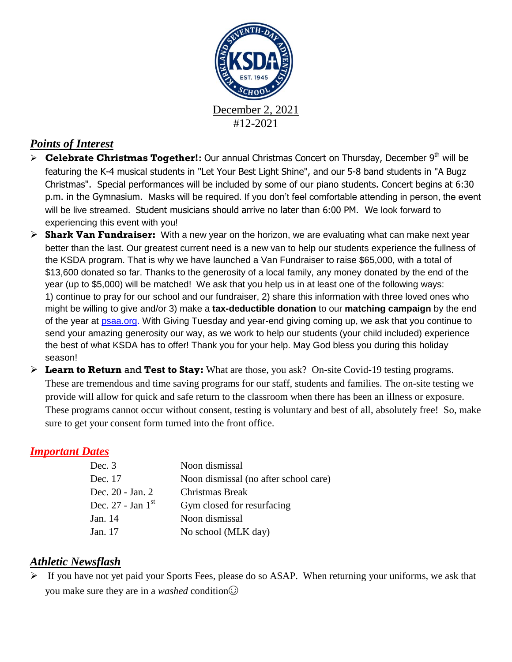

## *Points of Interest*

- > **Celebrate Christmas Together!:** Our annual Christmas Concert on Thursday, December 9<sup>th</sup> will be featuring the K-4 musical students in "Let Your Best Light Shine", and our 5-8 band students in "A Bugz Christmas". Special performances will be included by some of our piano students. Concert begins at 6:30 p.m. in the Gymnasium. Masks will be required. If you don't feel comfortable attending in person, the event will be live streamed. Student musicians should arrive no later than 6:00 PM. We look forward to experiencing this event with you!
- **Shark Van Fundraiser:** With a new year on the horizon, we are evaluating what can make next year better than the last. Our greatest current need is a new van to help our students experience the fullness of the KSDA program. That is why we have launched a Van Fundraiser to raise \$65,000, with a total of \$13,600 donated so far. Thanks to the generosity of a local family, any money donated by the end of the year (up to \$5,000) will be matched! We ask that you help us in at least one of the following ways: 1) continue to pray for our school and our fundraiser, 2) share this information with three loved ones who might be willing to give and/or 3) make a **tax-deductible donation** to our **matching campaign** by the end of the year at **psaa.org**. With Giving Tuesday and year-end giving coming up, we ask that you continue to send your amazing generosity our way, as we work to help our students (your child included) experience the best of what KSDA has to offer! Thank you for your help. May God bless you during this holiday season!
- **Learn to Return** and **Test to Stay:** What are those, you ask? On-site Covid-19 testing programs. These are tremendous and time saving programs for our staff, students and families. The on-site testing we provide will allow for quick and safe return to the classroom when there has been an illness or exposure. These programs cannot occur without consent, testing is voluntary and best of all, absolutely free! So, make sure to get your consent form turned into the front office.

#### *Important Dates*

| Dec. $3$              | Noon dismissal                        |
|-----------------------|---------------------------------------|
| Dec. 17               | Noon dismissal (no after school care) |
| Dec. 20 - Jan. 2      | Christmas Break                       |
| Dec. $27$ - Jan $1st$ | Gym closed for resurfacing            |
| Jan. 14               | Noon dismissal                        |
| Jan. 17               | No school (MLK day)                   |
|                       |                                       |

## *Athletic Newsflash*

 $\triangleright$  If you have not yet paid your Sports Fees, please do so ASAP. When returning your uniforms, we ask that you make sure they are in a *washed* condition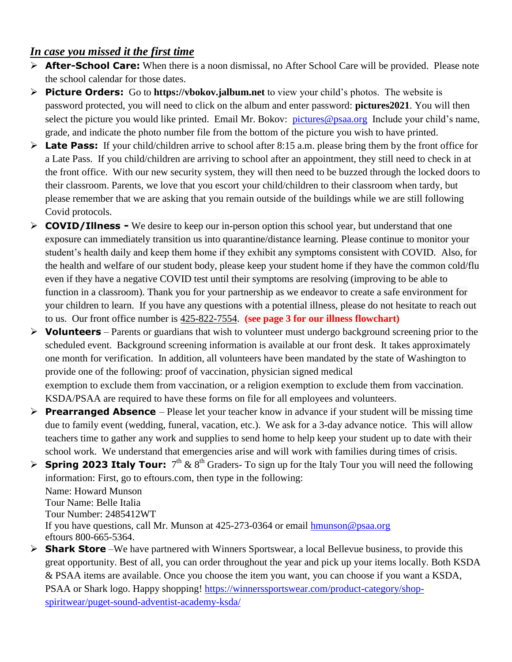### *In case you missed it the first time*

- **After-School Care:** When there is a noon dismissal, no After School Care will be provided. Please note the school calendar for those dates.
- **Picture Orders:** Go to **https://vbokov.jalbum.net** to view your child's photos. The website is password protected, you will need to click on the album and enter password: **pictures2021**. You will then select the picture you would like printed. Email Mr. Bokov: [pictures@psaa.org](mailto:vbokov@psaa.org) Include your child's name, grade, and indicate the photo number file from the bottom of the picture you wish to have printed.
- **Late Pass:** If your child/children arrive to school after 8:15 a.m. please bring them by the front office for a Late Pass. If you child/children are arriving to school after an appointment, they still need to check in at the front office. With our new security system, they will then need to be buzzed through the locked doors to their classroom. Parents, we love that you escort your child/children to their classroom when tardy, but please remember that we are asking that you remain outside of the buildings while we are still following Covid protocols.
- **COVID/Illness -** We desire to keep our in-person option this school year, but understand that one exposure can immediately transition us into quarantine/distance learning. Please continue to monitor your student's health daily and keep them home if they exhibit any symptoms consistent with COVID. Also, for the health and welfare of our student body, please keep your student home if they have the common cold/flu even if they have a negative COVID test until their symptoms are resolving (improving to be able to function in a classroom). Thank you for your partnership as we endeavor to create a safe environment for your children to learn. If you have any questions with a potential illness, please do not hesitate to reach out to us. Our front office number is [425-822-7554.](tel:425-822-7554) **(see page 3 for our illness flowchart)**
- **Volunteers** Parents or guardians that wish to volunteer must undergo background screening prior to the scheduled event. Background screening information is available at our front desk. It takes approximately one month for verification. In addition, all volunteers have been mandated by the state of Washington to provide one of the following: proof of vaccination, physician signed medical exemption to exclude them from vaccination, or a religion exemption to exclude them from vaccination. KSDA/PSAA are required to have these forms on file for all employees and volunteers.
- **Prearranged Absence** Please let your teacher know in advance if your student will be missing time due to family event (wedding, funeral, vacation, etc.). We ask for a 3-day advance notice. This will allow teachers time to gather any work and supplies to send home to help keep your student up to date with their school work. We understand that emergencies arise and will work with families during times of crisis.
- **Spring 2023 Italy Tour:**  $7<sup>th</sup> \& 8<sup>th</sup> Graders- To sign up for the Italy Tour you will need the following$ information: First, go to eftours.com, then type in the following:

Name: Howard Munson Tour Name: Belle Italia Tour Number: 2485412WT If you have questions, call Mr. Munson at 425-273-0364 or email [hmunson@psaa.org](mailto:hmunson@psaa.org)  eftours 800-665-5364.

**► Shark Store** – We have partnered with Winners Sportswear, a local Bellevue business, to provide this great opportunity. Best of all, you can order throughout the year and pick up your items locally. Both KSDA & PSAA items are available. Once you choose the item you want, you can choose if you want a KSDA, PSAA or Shark logo. Happy shopping! [https://winnerssportswear.com/product-category/shop](https://winnerssportswear.com/product-category/shop-spiritwear/puget-sound-adventist-academy-ksda/)[spiritwear/puget-sound-adventist-academy-ksda/](https://winnerssportswear.com/product-category/shop-spiritwear/puget-sound-adventist-academy-ksda/)